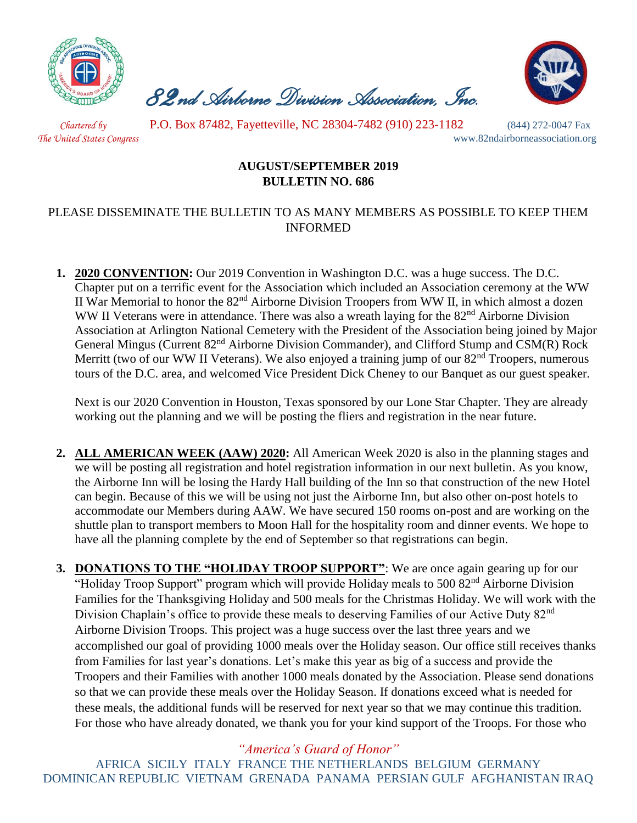

 *82nd Airborne Division Association, Inc.* 



 *Chartered by* P.O. Box 87482, Fayetteville, NC 28304-7482 (910) 223-1182 (844) 272-0047 Fax

*The United States Congress* www.82ndairborneassociation.org

## **AUGUST/SEPTEMBER 2019 BULLETIN NO. 686**

## PLEASE DISSEMINATE THE BULLETIN TO AS MANY MEMBERS AS POSSIBLE TO KEEP THEM INFORMED

**1. 2020 CONVENTION:** Our 2019 Convention in Washington D.C. was a huge success. The D.C. Chapter put on a terrific event for the Association which included an Association ceremony at the WW II War Memorial to honor the 82nd Airborne Division Troopers from WW II, in which almost a dozen WW II Veterans were in attendance. There was also a wreath laying for the 82<sup>nd</sup> Airborne Division Association at Arlington National Cemetery with the President of the Association being joined by Major General Mingus (Current 82<sup>nd</sup> Airborne Division Commander), and Clifford Stump and CSM(R) Rock Merritt (two of our WW II Veterans). We also enjoyed a training jump of our 82<sup>nd</sup> Troopers, numerous tours of the D.C. area, and welcomed Vice President Dick Cheney to our Banquet as our guest speaker.

Next is our 2020 Convention in Houston, Texas sponsored by our Lone Star Chapter. They are already working out the planning and we will be posting the fliers and registration in the near future.

**2. ALL AMERICAN WEEK (AAW) 2020:** All American Week 2020 is also in the planning stages and we will be posting all registration and hotel registration information in our next bulletin. As you know, the Airborne Inn will be losing the Hardy Hall building of the Inn so that construction of the new Hotel can begin. Because of this we will be using not just the Airborne Inn, but also other on-post hotels to accommodate our Members during AAW. We have secured 150 rooms on-post and are working on the shuttle plan to transport members to Moon Hall for the hospitality room and dinner events. We hope to have all the planning complete by the end of September so that registrations can begin.

**3. DONATIONS TO THE "HOLIDAY TROOP SUPPORT"**: We are once again gearing up for our "Holiday Troop Support" program which will provide Holiday meals to 500 82<sup>nd</sup> Airborne Division Families for the Thanksgiving Holiday and 500 meals for the Christmas Holiday. We will work with the Division Chaplain's office to provide these meals to deserving Families of our Active Duty 82<sup>nd</sup> Airborne Division Troops. This project was a huge success over the last three years and we accomplished our goal of providing 1000 meals over the Holiday season. Our office still receives thanks from Families for last year's donations. Let's make this year as big of a success and provide the Troopers and their Families with another 1000 meals donated by the Association. Please send donations so that we can provide these meals over the Holiday Season. If donations exceed what is needed for these meals, the additional funds will be reserved for next year so that we may continue this tradition. For those who have already donated, we thank you for your kind support of the Troops. For those who

*"America's Guard of Honor"*

AFRICA SICILY ITALY FRANCE THE NETHERLANDS BELGIUM GERMANY DOMINICAN REPUBLIC VIETNAM GRENADA PANAMA PERSIAN GULF AFGHANISTAN IRAQ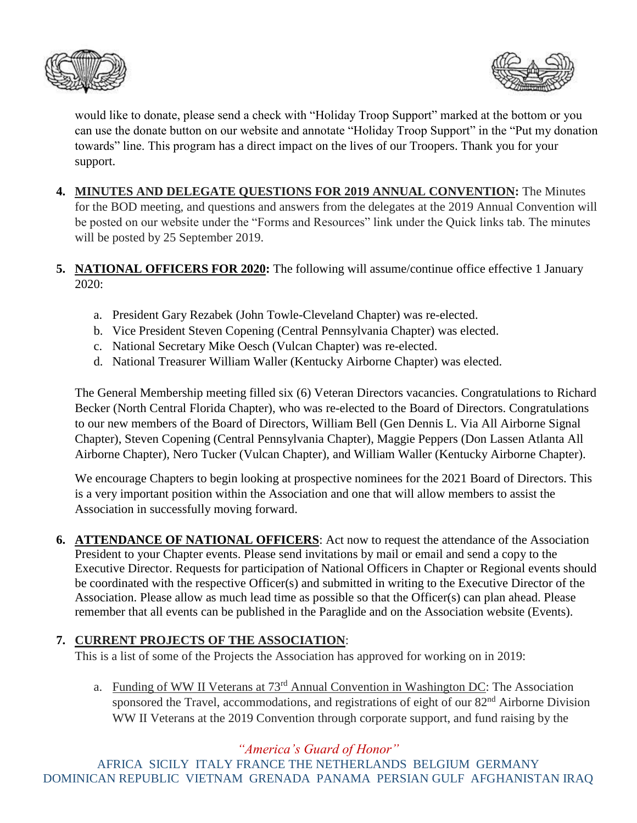



would like to donate, please send a check with "Holiday Troop Support" marked at the bottom or you can use the donate button on our website and annotate "Holiday Troop Support" in the "Put my donation towards" line. This program has a direct impact on the lives of our Troopers. Thank you for your support.

- **4. MINUTES AND DELEGATE QUESTIONS FOR 2019 ANNUAL CONVENTION:** The Minutes for the BOD meeting, and questions and answers from the delegates at the 2019 Annual Convention will be posted on our website under the "Forms and Resources" link under the Quick links tab. The minutes will be posted by 25 September 2019.
- **5. NATIONAL OFFICERS FOR 2020:** The following will assume/continue office effective 1 January 2020:
	- a. President Gary Rezabek (John Towle-Cleveland Chapter) was re-elected.
	- b. Vice President Steven Copening (Central Pennsylvania Chapter) was elected.
	- c. National Secretary Mike Oesch (Vulcan Chapter) was re-elected.
	- d. National Treasurer William Waller (Kentucky Airborne Chapter) was elected.

The General Membership meeting filled six (6) Veteran Directors vacancies. Congratulations to Richard Becker (North Central Florida Chapter), who was re-elected to the Board of Directors. Congratulations to our new members of the Board of Directors, William Bell (Gen Dennis L. Via All Airborne Signal Chapter), Steven Copening (Central Pennsylvania Chapter), Maggie Peppers (Don Lassen Atlanta All Airborne Chapter), Nero Tucker (Vulcan Chapter), and William Waller (Kentucky Airborne Chapter).

We encourage Chapters to begin looking at prospective nominees for the 2021 Board of Directors. This is a very important position within the Association and one that will allow members to assist the Association in successfully moving forward.

**6. ATTENDANCE OF NATIONAL OFFICERS**: Act now to request the attendance of the Association President to your Chapter events. Please send invitations by mail or email and send a copy to the Executive Director. Requests for participation of National Officers in Chapter or Regional events should be coordinated with the respective Officer(s) and submitted in writing to the Executive Director of the Association. Please allow as much lead time as possible so that the Officer(s) can plan ahead. Please remember that all events can be published in the Paraglide and on the Association website (Events).

## **7. CURRENT PROJECTS OF THE ASSOCIATION**:

This is a list of some of the Projects the Association has approved for working on in 2019:

a. Funding of WW II Veterans at 73rd Annual Convention in Washington DC: The Association sponsored the Travel, accommodations, and registrations of eight of our 82<sup>nd</sup> Airborne Division WW II Veterans at the 2019 Convention through corporate support, and fund raising by the

*"America's Guard of Honor"*

AFRICA SICILY ITALY FRANCE THE NETHERLANDS BELGIUM GERMANY DOMINICAN REPUBLIC VIETNAM GRENADA PANAMA PERSIAN GULF AFGHANISTAN IRAQ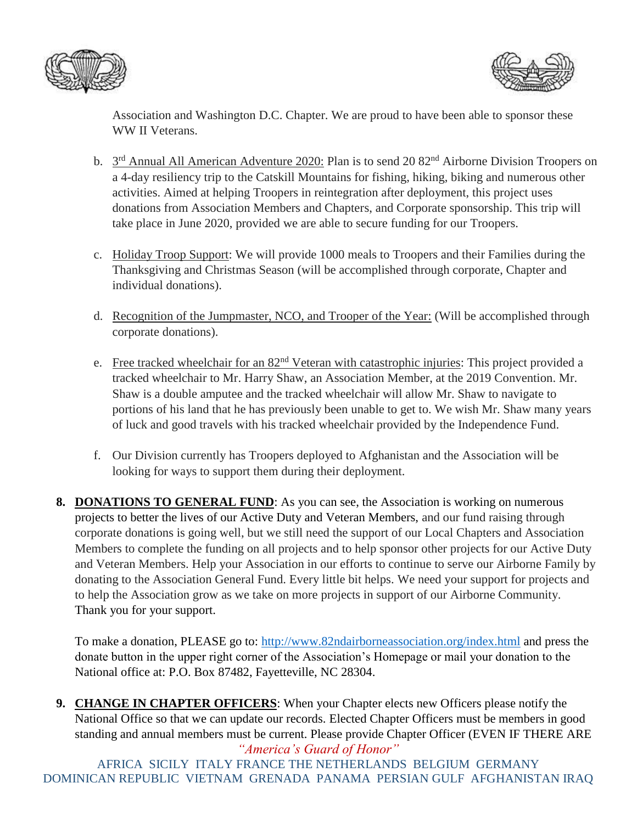



Association and Washington D.C. Chapter. We are proud to have been able to sponsor these WW II Veterans.

- b. 3<sup>rd</sup> Annual All American Adventure 2020: Plan is to send 20 82<sup>nd</sup> Airborne Division Troopers on a 4-day resiliency trip to the Catskill Mountains for fishing, hiking, biking and numerous other activities. Aimed at helping Troopers in reintegration after deployment, this project uses donations from Association Members and Chapters, and Corporate sponsorship. This trip will take place in June 2020, provided we are able to secure funding for our Troopers.
- c. Holiday Troop Support: We will provide 1000 meals to Troopers and their Families during the Thanksgiving and Christmas Season (will be accomplished through corporate, Chapter and individual donations).
- d. Recognition of the Jumpmaster, NCO, and Trooper of the Year: (Will be accomplished through corporate donations).
- e. Free tracked wheelchair for an 82<sup>nd</sup> Veteran with catastrophic injuries: This project provided a tracked wheelchair to Mr. Harry Shaw, an Association Member, at the 2019 Convention. Mr. Shaw is a double amputee and the tracked wheelchair will allow Mr. Shaw to navigate to portions of his land that he has previously been unable to get to. We wish Mr. Shaw many years of luck and good travels with his tracked wheelchair provided by the Independence Fund.
- f. Our Division currently has Troopers deployed to Afghanistan and the Association will be looking for ways to support them during their deployment.
- **8. DONATIONS TO GENERAL FUND**: As you can see, the Association is working on numerous projects to better the lives of our Active Duty and Veteran Members, and our fund raising through corporate donations is going well, but we still need the support of our Local Chapters and Association Members to complete the funding on all projects and to help sponsor other projects for our Active Duty and Veteran Members. Help your Association in our efforts to continue to serve our Airborne Family by donating to the Association General Fund. Every little bit helps. We need your support for projects and to help the Association grow as we take on more projects in support of our Airborne Community. Thank you for your support.

To make a donation, PLEASE go to:<http://www.82ndairborneassociation.org/index.html> and press the donate button in the upper right corner of the Association's Homepage or mail your donation to the National office at: P.O. Box 87482, Fayetteville, NC 28304.

*"America's Guard of Honor"* **9. CHANGE IN CHAPTER OFFICERS**: When your Chapter elects new Officers please notify the National Office so that we can update our records. Elected Chapter Officers must be members in good standing and annual members must be current. Please provide Chapter Officer (EVEN IF THERE ARE

AFRICA SICILY ITALY FRANCE THE NETHERLANDS BELGIUM GERMANY DOMINICAN REPUBLIC VIETNAM GRENADA PANAMA PERSIAN GULF AFGHANISTAN IRAQ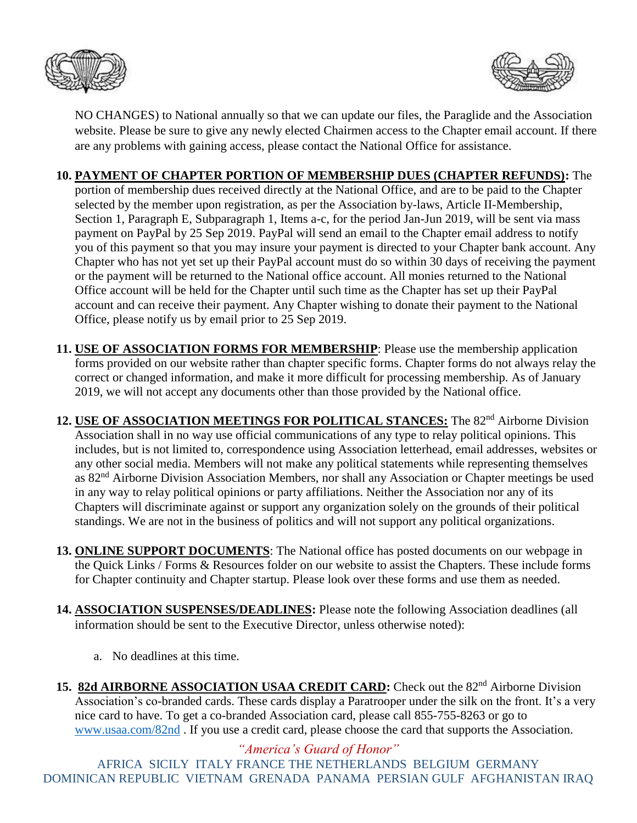



NO CHANGES) to National annually so that we can update our files, the Paraglide and the Association website. Please be sure to give any newly elected Chairmen access to the Chapter email account. If there are any problems with gaining access, please contact the National Office for assistance.

## **10. PAYMENT OF CHAPTER PORTION OF MEMBERSHIP DUES (CHAPTER REFUNDS):** The

portion of membership dues received directly at the National Office, and are to be paid to the Chapter selected by the member upon registration, as per the Association by-laws, Article II-Membership, Section 1, Paragraph E, Subparagraph 1, Items a-c, for the period Jan-Jun 2019, will be sent via mass payment on PayPal by 25 Sep 2019. PayPal will send an email to the Chapter email address to notify you of this payment so that you may insure your payment is directed to your Chapter bank account. Any Chapter who has not yet set up their PayPal account must do so within 30 days of receiving the payment or the payment will be returned to the National office account. All monies returned to the National Office account will be held for the Chapter until such time as the Chapter has set up their PayPal account and can receive their payment. Any Chapter wishing to donate their payment to the National Office, please notify us by email prior to 25 Sep 2019.

- **11. USE OF ASSOCIATION FORMS FOR MEMBERSHIP**: Please use the membership application forms provided on our website rather than chapter specific forms. Chapter forms do not always relay the correct or changed information, and make it more difficult for processing membership. As of January 2019, we will not accept any documents other than those provided by the National office.
- 12. **USE OF ASSOCIATION MEETINGS FOR POLITICAL STANCES:** The 82<sup>nd</sup> Airborne Division Association shall in no way use official communications of any type to relay political opinions. This includes, but is not limited to, correspondence using Association letterhead, email addresses, websites or any other social media. Members will not make any political statements while representing themselves as 82<sup>nd</sup> Airborne Division Association Members, nor shall any Association or Chapter meetings be used in any way to relay political opinions or party affiliations. Neither the Association nor any of its Chapters will discriminate against or support any organization solely on the grounds of their political standings. We are not in the business of politics and will not support any political organizations.
- **13. ONLINE SUPPORT DOCUMENTS**: The National office has posted documents on our webpage in the Quick Links / Forms & Resources folder on our website to assist the Chapters. These include forms for Chapter continuity and Chapter startup. Please look over these forms and use them as needed.
- **14. ASSOCIATION SUSPENSES/DEADLINES:** Please note the following Association deadlines (all information should be sent to the Executive Director, unless otherwise noted):
	- a. No deadlines at this time.
- 15. 82d AIRBORNE ASSOCIATION USAA CREDIT CARD: Check out the 82<sup>nd</sup> Airborne Division Association's co-branded cards. These cards display a Paratrooper under the silk on the front. It's a very nice card to have. To get a co-branded Association card, please call 855-755-8263 or go to [www.usaa.com/82nd](http://www.usaa.com/82nd) . If you use a credit card, please choose the card that supports the Association.

*"America's Guard of Honor"* AFRICA SICILY ITALY FRANCE THE NETHERLANDS BELGIUM GERMANY DOMINICAN REPUBLIC VIETNAM GRENADA PANAMA PERSIAN GULF AFGHANISTAN IRAQ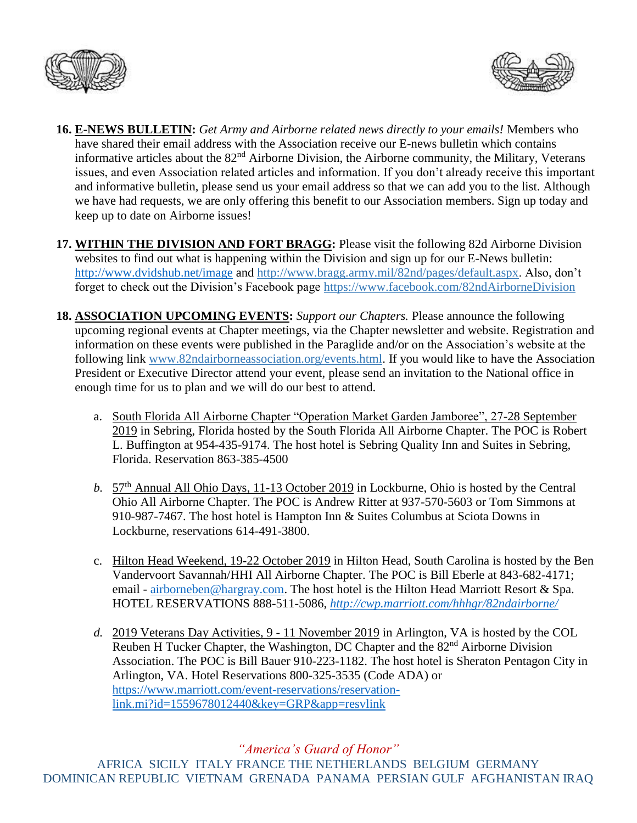



- **16. E-NEWS BULLETIN:** *Get Army and Airborne related news directly to your emails!* Members who have shared their email address with the Association receive our E-news bulletin which contains informative articles about the 82<sup>nd</sup> Airborne Division, the Airborne community, the Military, Veterans issues, and even Association related articles and information. If you don't already receive this important and informative bulletin, please send us your email address so that we can add you to the list. Although we have had requests, we are only offering this benefit to our Association members. Sign up today and keep up to date on Airborne issues!
- **17. WITHIN THE DIVISION AND FORT BRAGG:** Please visit the following 82d Airborne Division websites to find out what is happening within the Division and sign up for our E-News bulletin: <http://www.dvidshub.net/image> and [http://www.bragg.army.mil/82nd/pages/default.aspx.](http://www.bragg.army.mil/82ND/Pages/default.aspx) Also, don't forget to check out the Division's Facebook page<https://www.facebook.com/82ndAirborneDivision>
- **18. ASSOCIATION UPCOMING EVENTS:** *Support our Chapters.* Please announce the following upcoming regional events at Chapter meetings, via the Chapter newsletter and website. Registration and information on these events were published in the Paraglide and/or on the Association's website at the following link [www.82ndairborneassociation.org/events.html.](http://www.82ndairborneassociation.org/events.html) If you would like to have the Association President or Executive Director attend your event, please send an invitation to the National office in enough time for us to plan and we will do our best to attend.
	- a. South Florida All Airborne Chapter "Operation Market Garden Jamboree", 27-28 September 2019 in Sebring, Florida hosted by the South Florida All Airborne Chapter. The POC is Robert L. Buffington at 954-435-9174. The host hotel is Sebring Quality Inn and Suites in Sebring, Florida. Reservation 863-385-4500
	- *b.* 57<sup>th</sup> Annual All Ohio Days, 11-13 October 2019 in Lockburne, Ohio is hosted by the Central Ohio All Airborne Chapter. The POC is Andrew Ritter at 937-570-5603 or Tom Simmons at 910-987-7467. The host hotel is Hampton Inn & Suites Columbus at Sciota Downs in Lockburne, reservations 614-491-3800.
	- c. Hilton Head Weekend, 19-22 October 2019 in Hilton Head, South Carolina is hosted by the Ben Vandervoort Savannah/HHI All Airborne Chapter. The POC is Bill Eberle at 843-682-4171; email - [airborneben@hargray.com.](mailto:airborneben@hargray.com) The host hotel is the Hilton Head Marriott Resort & Spa. HOTEL RESERVATIONS 888-511-5086, *<http://cwp.marriott.com/hhhgr/82ndairborne/>*
	- *d.* 2019 Veterans Day Activities, 9 11 November 2019 in Arlington, VA is hosted by the COL Reuben H Tucker Chapter, the Washington, DC Chapter and the 82<sup>nd</sup> Airborne Division Association. The POC is Bill Bauer 910-223-1182. The host hotel is Sheraton Pentagon City in Arlington, VA. Hotel Reservations 800-325-3535 (Code ADA) or [https://www.marriott.com/event-reservations/reservation](https://www.marriott.com/event-reservations/reservation-link.mi?id=1559678012440&key=GRP&app=resvlink)[link.mi?id=1559678012440&key=GRP&app=resvlink](https://www.marriott.com/event-reservations/reservation-link.mi?id=1559678012440&key=GRP&app=resvlink)

*"America's Guard of Honor"* AFRICA SICILY ITALY FRANCE THE NETHERLANDS BELGIUM GERMANY DOMINICAN REPUBLIC VIETNAM GRENADA PANAMA PERSIAN GULF AFGHANISTAN IRAQ